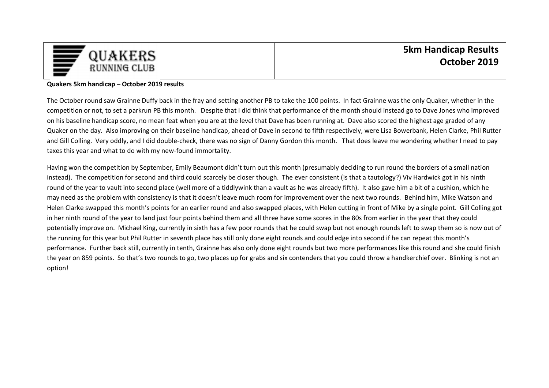

## **Quakers 5km handicap – October 2019 results**

The October round saw Grainne Duffy back in the fray and setting another PB to take the 100 points. In fact Grainne was the only Quaker, whether in the competition or not, to set a parkrun PB this month. Despite that I did think that performance of the month should instead go to Dave Jones who improved on his baseline handicap score, no mean feat when you are at the level that Dave has been running at. Dave also scored the highest age graded of any Quaker on the day. Also improving on their baseline handicap, ahead of Dave in second to fifth respectively, were Lisa Bowerbank, Helen Clarke, Phil Rutter and Gill Colling. Very oddly, and I did double-check, there was no sign of Danny Gordon this month. That does leave me wondering whether I need to pay taxes this year and what to do with my new-found immortality.

Having won the competition by September, Emily Beaumont didn't turn out this month (presumably deciding to run round the borders of a small nation instead). The competition for second and third could scarcely be closer though. The ever consistent (is that a tautology?) Viv Hardwick got in his ninth round of the year to vault into second place (well more of a tiddlywink than a vault as he was already fifth). It also gave him a bit of a cushion, which he may need as the problem with consistency is that it doesn't leave much room for improvement over the next two rounds. Behind him, Mike Watson and Helen Clarke swapped this month's points for an earlier round and also swapped places, with Helen cutting in front of Mike by a single point. Gill Colling got in her ninth round of the year to land just four points behind them and all three have some scores in the 80s from earlier in the year that they could potentially improve on. Michael King, currently in sixth has a few poor rounds that he could swap but not enough rounds left to swap them so is now out of the running for this year but Phil Rutter in seventh place has still only done eight rounds and could edge into second if he can repeat this month's performance. Further back still, currently in tenth, Grainne has also only done eight rounds but two more performances like this round and she could finish the year on 859 points. So that's two rounds to go, two places up for grabs and six contenders that you could throw a handkerchief over. Blinking is not an option!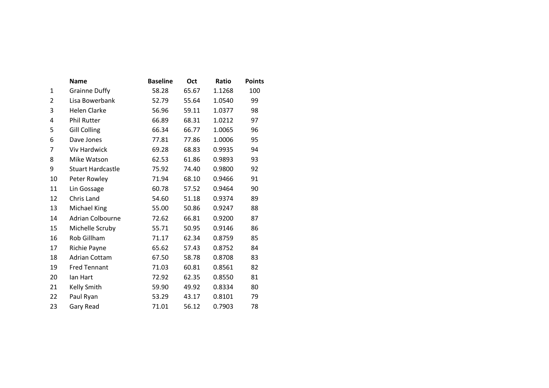|                | Name                     | <b>Baseline</b> | Oct   | Ratio  | <b>Points</b> |
|----------------|--------------------------|-----------------|-------|--------|---------------|
| $\mathbf{1}$   | <b>Grainne Duffy</b>     | 58.28           | 65.67 | 1.1268 | 100           |
| $\overline{2}$ | Lisa Bowerbank           | 52.79           | 55.64 | 1.0540 | 99            |
| 3              | Helen Clarke             | 56.96           | 59.11 | 1.0377 | 98            |
| 4              | Phil Rutter              | 66.89           | 68.31 | 1.0212 | 97            |
| 5              | Gill Colling             | 66.34           | 66.77 | 1.0065 | 96            |
| 6              | Dave Jones               | 77.81           | 77.86 | 1.0006 | 95            |
| $\overline{7}$ | <b>Viv Hardwick</b>      | 69.28           | 68.83 | 0.9935 | 94            |
| 8              | Mike Watson              | 62.53           | 61.86 | 0.9893 | 93            |
| 9              | <b>Stuart Hardcastle</b> | 75.92           | 74.40 | 0.9800 | 92            |
| 10             | Peter Rowley             | 71.94           | 68.10 | 0.9466 | 91            |
| 11             | Lin Gossage              | 60.78           | 57.52 | 0.9464 | 90            |
| 12             | Chris Land               | 54.60           | 51.18 | 0.9374 | 89            |
| 13             | Michael King             | 55.00           | 50.86 | 0.9247 | 88            |
| 14             | Adrian Colbourne         | 72.62           | 66.81 | 0.9200 | 87            |
| 15             | Michelle Scruby          | 55.71           | 50.95 | 0.9146 | 86            |
| 16             | Rob Gillham              | 71.17           | 62.34 | 0.8759 | 85            |
| 17             | Richie Payne             | 65.62           | 57.43 | 0.8752 | 84            |
| 18             | <b>Adrian Cottam</b>     | 67.50           | 58.78 | 0.8708 | 83            |
| 19             | <b>Fred Tennant</b>      | 71.03           | 60.81 | 0.8561 | 82            |
| 20             | lan Hart                 | 72.92           | 62.35 | 0.8550 | 81            |
| 21             | Kelly Smith              | 59.90           | 49.92 | 0.8334 | 80            |
| 22             | Paul Ryan                | 53.29           | 43.17 | 0.8101 | 79            |
| 23             | Gary Read                | 71.01           | 56.12 | 0.7903 | 78            |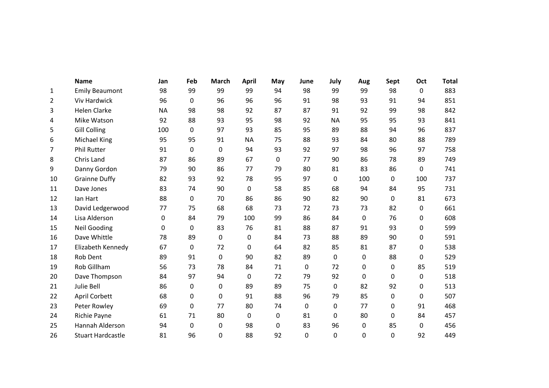|                | <b>Name</b>              | Jan       | Feb              | <b>March</b> | <b>April</b>     | May          | June | July      | Aug         | Sept | Oct         | <b>Total</b> |
|----------------|--------------------------|-----------|------------------|--------------|------------------|--------------|------|-----------|-------------|------|-------------|--------------|
| $\mathbf{1}$   | <b>Emily Beaumont</b>    | 98        | 99               | 99           | 99               | 94           | 98   | 99        | 99          | 98   | $\mathbf 0$ | 883          |
| $\overline{2}$ | Viv Hardwick             | 96        | 0                | 96           | 96               | 96           | 91   | 98        | 93          | 91   | 94          | 851          |
| 3              | <b>Helen Clarke</b>      | <b>NA</b> | 98               | 98           | 92               | 87           | 87   | 91        | 92          | 99   | 98          | 842          |
| 4              | Mike Watson              | 92        | 88               | 93           | 95               | 98           | 92   | <b>NA</b> | 95          | 95   | 93          | 841          |
| 5              | <b>Gill Colling</b>      | 100       | 0                | 97           | 93               | 85           | 95   | 89        | 88          | 94   | 96          | 837          |
| 6              | Michael King             | 95        | 95               | 91           | <b>NA</b>        | 75           | 88   | 93        | 84          | 80   | 88          | 789          |
| 7              | Phil Rutter              | 91        | $\pmb{0}$        | $\mathbf 0$  | 94               | 93           | 92   | 97        | 98          | 96   | 97          | 758          |
| 8              | Chris Land               | 87        | 86               | 89           | 67               | $\mathbf{0}$ | 77   | 90        | 86          | 78   | 89          | 749          |
| 9              | Danny Gordon             | 79        | 90               | 86           | 77               | 79           | 80   | 81        | 83          | 86   | 0           | 741          |
| 10             | <b>Grainne Duffy</b>     | 82        | 93               | 92           | 78               | 95           | 97   | 0         | 100         | 0    | 100         | 737          |
| 11             | Dave Jones               | 83        | 74               | 90           | 0                | 58           | 85   | 68        | 94          | 84   | 95          | 731          |
| 12             | lan Hart                 | 88        | $\boldsymbol{0}$ | 70           | 86               | 86           | 90   | 82        | 90          | 0    | 81          | 673          |
| 13             | David Ledgerwood         | 77        | 75               | 68           | 68               | 73           | 72   | 73        | 73          | 82   | 0           | 661          |
| 14             | Lisa Alderson            | 0         | 84               | 79           | 100              | 99           | 86   | 84        | 0           | 76   | 0           | 608          |
| 15             | <b>Neil Gooding</b>      | $\Omega$  | 0                | 83           | 76               | 81           | 88   | 87        | 91          | 93   | 0           | 599          |
| 16             | Dave Whittle             | 78        | 89               | $\mathbf 0$  | $\boldsymbol{0}$ | 84           | 73   | 88        | 89          | 90   | 0           | 591          |
| 17             | Elizabeth Kennedy        | 67        | 0                | 72           | 0                | 64           | 82   | 85        | 81          | 87   | 0           | 538          |
| 18             | Rob Dent                 | 89        | 91               | 0            | 90               | 82           | 89   | 0         | 0           | 88   | 0           | 529          |
| 19             | Rob Gillham              | 56        | 73               | 78           | 84               | 71           | 0    | 72        | 0           | 0    | 85          | 519          |
| 20             | Dave Thompson            | 84        | 97               | 94           | 0                | 72           | 79   | 92        | $\mathbf 0$ | 0    | 0           | 518          |
| 21             | Julie Bell               | 86        | 0                | 0            | 89               | 89           | 75   | 0         | 82          | 92   | 0           | 513          |
| 22             | April Corbett            | 68        | 0                | 0            | 91               | 88           | 96   | 79        | 85          | 0    | 0           | 507          |
| 23             | Peter Rowley             | 69        | $\boldsymbol{0}$ | 77           | 80               | 74           | 0    | 0         | 77          | 0    | 91          | 468          |
| 24             | Richie Payne             | 61        | 71               | 80           | 0                | 0            | 81   | 0         | 80          | 0    | 84          | 457          |
| 25             | Hannah Alderson          | 94        | $\boldsymbol{0}$ | 0            | 98               | 0            | 83   | 96        | 0           | 85   | 0           | 456          |
| 26             | <b>Stuart Hardcastle</b> | 81        | 96               | 0            | 88               | 92           | 0    | 0         | 0           | 0    | 92          | 449          |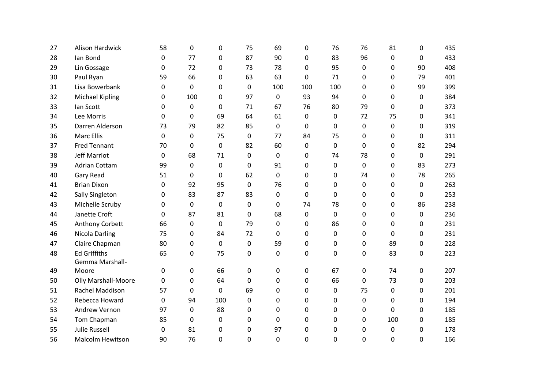| 27 | <b>Alison Hardwick</b>     | 58       | 0   | 0           | 75          | 69          | 0           | 76          | 76       | 81  | 0           | 435 |
|----|----------------------------|----------|-----|-------------|-------------|-------------|-------------|-------------|----------|-----|-------------|-----|
| 28 | lan Bond                   | 0        | 77  | 0           | 87          | 90          | 0           | 83          | 96       | 0   | $\Omega$    | 433 |
| 29 | Lin Gossage                | 0        | 72  | 0           | 73          | 78          | 0           | 95          | 0        | 0   | 90          | 408 |
| 30 | Paul Ryan                  | 59       | 66  | 0           | 63          | 63          | 0           | 71          | 0        | 0   | 79          | 401 |
| 31 | Lisa Bowerbank             | 0        | 0   | 0           | 0           | 100         | 100         | 100         | 0        | 0   | 99          | 399 |
| 32 | <b>Michael Kipling</b>     | 0        | 100 | $\Omega$    | 97          | $\Omega$    | 93          | 94          | $\Omega$ | 0   | $\Omega$    | 384 |
| 33 | lan Scott                  | 0        | 0   | $\mathbf 0$ | 71          | 67          | 76          | 80          | 79       | 0   | 0           | 373 |
| 34 | Lee Morris                 | $\Omega$ | 0   | 69          | 64          | 61          | 0           | 0           | 72       | 75  | 0           | 341 |
| 35 | Darren Alderson            | 73       | 79  | 82          | 85          | 0           | 0           | 0           | 0        | 0   | 0           | 319 |
| 36 | <b>Marc Ellis</b>          | 0        | 0   | 75          | 0           | 77          | 84          | 75          | 0        | 0   | $\Omega$    | 311 |
| 37 | <b>Fred Tennant</b>        | 70       | 0   | $\mathbf 0$ | 82          | 60          | $\mathbf 0$ | $\mathbf 0$ | 0        | 0   | 82          | 294 |
| 38 | Jeff Marriot               | 0        | 68  | 71          | 0           | 0           | $\mathbf 0$ | 74          | 78       | 0   | $\mathbf 0$ | 291 |
| 39 | <b>Adrian Cottam</b>       | 99       | 0   | 0           | 0           | 91          | 0           | $\pmb{0}$   | 0        | 0   | 83          | 273 |
| 40 | Gary Read                  | 51       | 0   | $\mathbf 0$ | 62          | $\mathbf 0$ | 0           | $\pmb{0}$   | 74       | 0   | 78          | 265 |
| 41 | <b>Brian Dixon</b>         | $\Omega$ | 92  | 95          | 0           | 76          | $\Omega$    | $\mathbf 0$ | 0        | 0   | $\Omega$    | 263 |
| 42 | Sally Singleton            | 0        | 83  | 87          | 83          | 0           | $\mathbf 0$ | $\mathbf 0$ | 0        | 0   | $\mathbf 0$ | 253 |
| 43 | Michelle Scruby            | 0        | 0   | 0           | 0           | 0           | 74          | 78          | 0        | 0   | 86          | 238 |
| 44 | Janette Croft              | 0        | 87  | 81          | 0           | 68          | $\mathbf 0$ | $\pmb{0}$   | 0        | 0   | 0           | 236 |
| 45 | Anthony Corbett            | 66       | 0   | $\mathbf 0$ | 79          | 0           | 0           | 86          | 0        | 0   | 0           | 231 |
| 46 | Nicola Darling             | 75       | 0   | 84          | 72          | 0           | 0           | $\mathbf 0$ | 0        | 0   | 0           | 231 |
| 47 | Claire Chapman             | 80       | 0   | $\mathbf 0$ | 0           | 59          | 0           | $\mathbf 0$ | 0        | 89  | 0           | 228 |
| 48 | <b>Ed Griffiths</b>        | 65       | 0   | 75          | 0           | 0           | 0           | 0           | 0        | 83  | $\mathbf 0$ | 223 |
|    | Gemma Marshall-            |          |     |             |             |             |             |             |          |     |             |     |
| 49 | Moore                      | $\Omega$ | 0   | 66          | 0           | 0           | $\mathbf 0$ | 67          | 0        | 74  | $\mathbf 0$ | 207 |
| 50 | <b>Olly Marshall-Moore</b> | 0        | 0   | 64          | $\Omega$    | 0           | $\Omega$    | 66          | $\Omega$ | 73  | 0           | 203 |
| 51 | Rachel Maddison            | 57       | 0   | 0           | 69          | 0           | $\Omega$    | 0           | 75       | 0   | 0           | 201 |
| 52 | Rebecca Howard             | 0        | 94  | 100         | 0           | 0           | 0           | 0           | 0        | 0   | 0           | 194 |
| 53 | Andrew Vernon              | 97       | 0   | 88          | 0           | 0           | $\Omega$    | 0           | 0        | 0   | $\Omega$    | 185 |
| 54 | Tom Chapman                | 85       | 0   | 0           | 0           | 0           | 0           | 0           | 0        | 100 | 0           | 185 |
| 55 | <b>Julie Russell</b>       | 0        | 81  | 0           | 0           | 97          | 0           | 0           | 0        | 0   | 0           | 178 |
| 56 | <b>Malcolm Hewitson</b>    | 90       | 76  | 0           | $\mathbf 0$ | 0           | $\Omega$    | 0           | 0        | 0   | 0           | 166 |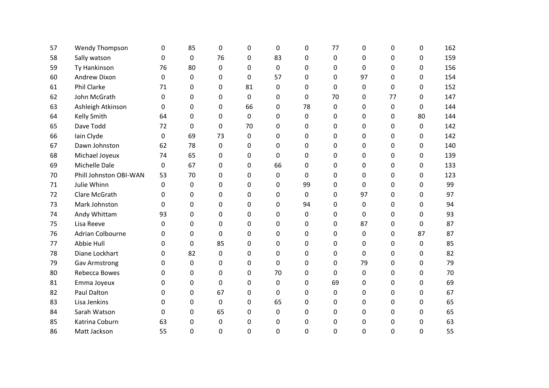| 57 | <b>Wendy Thompson</b>   | $\Omega$    | 85 | $\Omega$ | 0  | $\mathbf 0$ | 0  | 77 | 0           | 0           | $\Omega$ | 162 |
|----|-------------------------|-------------|----|----------|----|-------------|----|----|-------------|-------------|----------|-----|
| 58 | Sally watson            | $\mathbf 0$ | 0  | 76       | 0  | 83          | 0  | 0  | $\Omega$    | $\Omega$    | 0        | 159 |
| 59 | Ty Hankinson            | 76          | 80 | $\Omega$ | 0  | $\mathbf 0$ | 0  | 0  | $\mathbf 0$ | $\Omega$    | $\Omega$ | 156 |
| 60 | <b>Andrew Dixon</b>     | $\mathbf 0$ | 0  | 0        | 0  | 57          | 0  | 0  | 97          | $\Omega$    | 0        | 154 |
| 61 | <b>Phil Clarke</b>      | 71          | 0  | $\Omega$ | 81 | $\Omega$    | 0  | 0  | 0           | $\Omega$    | 0        | 152 |
| 62 | John McGrath            | $\mathbf 0$ | 0  | $\Omega$ | 0  | $\Omega$    | 0  | 70 | 0           | 77          | 0        | 147 |
| 63 | Ashleigh Atkinson       | $\Omega$    | 0  | 0        | 66 | $\Omega$    | 78 | 0  | $\Omega$    | 0           | $\Omega$ | 144 |
| 64 | <b>Kelly Smith</b>      | 64          | 0  | 0        | 0  | $\Omega$    | 0  | 0  | 0           | 0           | 80       | 144 |
| 65 | Dave Todd               | 72          | 0  | $\Omega$ | 70 | $\Omega$    | 0  | 0  | $\Omega$    | $\Omega$    | 0        | 142 |
| 66 | Iain Clyde              | $\mathbf 0$ | 69 | 73       | 0  | $\Omega$    | 0  | 0  | 0           | 0           | 0        | 142 |
| 67 | Dawn Johnston           | 62          | 78 | 0        | 0  | 0           | 0  | 0  | $\Omega$    | 0           | 0        | 140 |
| 68 | Michael Joyeux          | 74          | 65 | 0        | 0  | $\Omega$    | 0  | 0  | 0           | 0           | 0        | 139 |
| 69 | Michelle Dale           | 0           | 67 | 0        | 0  | 66          | 0  | 0  | 0           | 0           | 0        | 133 |
| 70 | Phill Johnston OBI-WAN  | 53          | 70 | 0        | 0  | $\Omega$    | 0  | 0  | $\Omega$    | 0           | 0        | 123 |
| 71 | Julie Whinn             | 0           | 0  | 0        | 0  | 0           | 99 | 0  | $\Omega$    | 0           | 0        | 99  |
| 72 | Clare McGrath           | 0           | 0  | 0        | 0  | $\Omega$    | 0  | 0  | 97          | $\mathbf 0$ | 0        | 97  |
| 73 | Mark Johnston           | $\Omega$    | 0  | $\Omega$ | 0  | $\Omega$    | 94 | 0  | $\Omega$    | $\Omega$    | $\Omega$ | 94  |
| 74 | Andy Whittam            | 93          | 0  | $\Omega$ | 0  | $\Omega$    | 0  | 0  | $\mathbf 0$ | $\Omega$    | $\Omega$ | 93  |
| 75 | Lisa Reeve              | $\Omega$    | 0  | $\Omega$ | 0  | $\Omega$    | 0  | 0  | 87          | $\Omega$    | $\Omega$ | 87  |
| 76 | <b>Adrian Colbourne</b> | 0           | 0  | 0        | 0  | $\Omega$    | 0  | 0  | $\mathbf 0$ | $\mathbf 0$ | 87       | 87  |
| 77 | Abbie Hull              | $\Omega$    | 0  | 85       | 0  | $\Omega$    | 0  | 0  | $\Omega$    | $\Omega$    | $\Omega$ | 85  |
| 78 | Diane Lockhart          | 0           | 82 | 0        | 0  | $\Omega$    | 0  | 0  | $\mathbf 0$ | 0           | 0        | 82  |
| 79 | <b>Gav Armstrong</b>    | 0           | 0  | 0        | 0  | $\Omega$    | 0  | 0  | 79          | 0           | 0        | 79  |
| 80 | Rebecca Bowes           | 0           | 0  | 0        | 0  | 70          | 0  | 0  | 0           | 0           | 0        | 70  |
| 81 | Emma Joyeux             | 0           | 0  | 0        | 0  | $\Omega$    | 0  | 69 | $\Omega$    | 0           | 0        | 69  |
| 82 | Paul Dalton             | $\Omega$    | 0  | 67       | 0  | $\Omega$    | 0  | 0  | 0           | 0           | 0        | 67  |
| 83 | Lisa Jenkins            | 0           | 0  | 0        | 0  | 65          | 0  | 0  | 0           | 0           | 0        | 65  |
| 84 | Sarah Watson            | 0           | 0  | 65       | 0  | 0           | 0  | 0  | 0           | 0           | 0        | 65  |
| 85 | Katrina Coburn          | 63          | 0  | 0        | 0  | $\Omega$    | 0  | 0  | 0           | 0           | 0        | 63  |
| 86 | Matt Jackson            | 55          | 0  | 0        | 0  | $\Omega$    | 0  | 0  | $\Omega$    | $\mathbf 0$ | 0        | 55  |